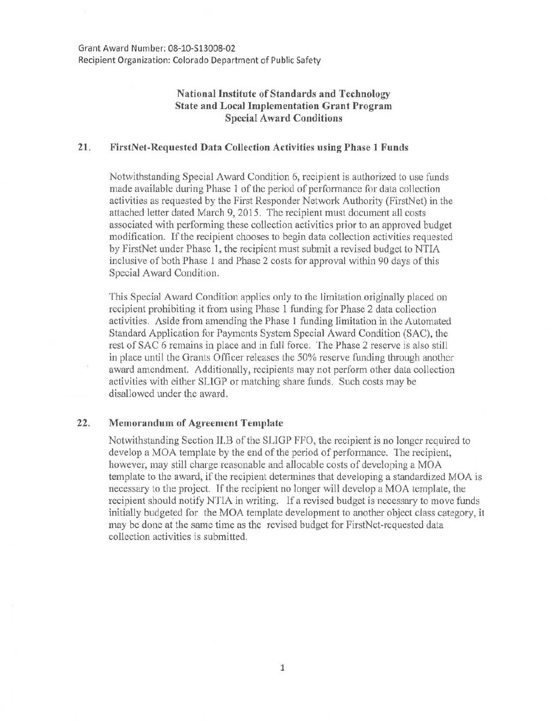Grant Award Number: 08-10-\$13008-02 Recipient Organization: Colorado Department of Public Safety

## **National Institute of Standards and Technology State and Local Implementation Grant Program Special Award Conditions**

## **21. FirstNet-Rcquested Data Collection Activities using Phase 1 Funds**

Notwithstanding Special Award Condition 6, recipient is authorized to use funds made available during Phase 1 of the period of performance for data collection activities as requested by the First Responder Network Authority (FirstNet) in the attached letter dated March 9, 2015. The recipient must document all costs associated with performing these collection activities prior to an approved budget modification. If the recipient chooses to begin data collection activities requested by FirstNet under Phase 1, the recipient must submit a revised budget to NTIA inclusive of both Phase 1 and Phase 2 costs for approval within 90 days of this Special Award Condition.

This Special Award Condition applies only to the limitation originally placed on recipient prohibiting it from using Phase 1 funding for Phase 2 data collection activities. Aside from amending the Phase 1 funding limitation in the Automated Standard Application for Payments System Special Award Condition (SAC), the rest of SAC 6 remains in place and in full force. The Phase 2 reserve is also still in place until the Grants Officer releases the 50% reserve funding through another award amendment. Additionally, recipients may not perform other data collection activities with either SLIGP or matching share funds. Such costs may be disallowed under the award.

## **22. Memorandum of Agreement Template**

Notwithstanding Section II.B of the SLIGP FFO, the recipient is no longer required to develop a MOA template by the end of the period of performance. The recipient, however, may still charge reasonable and allocable costs of developing a MOA template to the award, if the recipient determines that developing a standardized MOA is necessary to the project. If the recipient no longer will develop a MOA template, the recipient should notify NTIA in writing. If a revised budget is necessary to move funds initially budgeted for the MOA template development to another object class category, it may be done at the same time as the revised budget for FirstNet-requested data collection activities is submitted.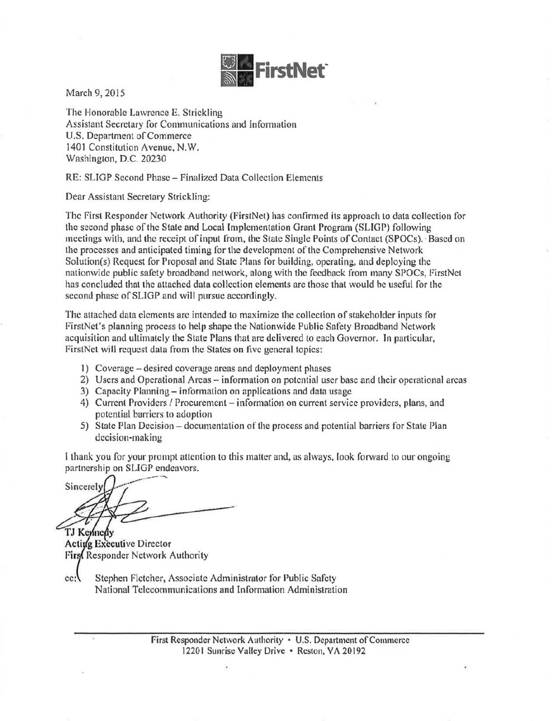

March 9, 2015

The Honorable Lawrence E. Strickling Assistant Secretary for Communications and Information U.S. Department of Commerce 1401 Constitution Avenue, N.W. Washington, D.C. 20230

RE: SLIGP Second Phase- Finalized Data Collection Elements

Dear Assistant Secretary Strickling:

The First Responder Network Authority (FirstNet) has confirmed its approach to data collection for the second phase of the Stale and Local Implementation Grant Program (SLIGP) following meetings with, and the receipt of input from, the State Single Points of Contaet (SPOCs). ·Based on the processes and anticipated timing for the development of the Comprehensive Network Solution(s) Request for Proposal and State Plans for building, operating, and deploying the nationwide public safety broadband network, along with the feedback from many SPOCs, FirstNet has concluded that the attached data collection elements are those that would be useful for the second phase of SLIGP and will pursue accordingly.

The attached data elements are intended to maximize the collection of stakeholder inputs for FirstNet's planning process to help shape the Nationwide Public Safety Broadband Network acquisition and ultimately the State Plans that are delivered to each Governor. In particular, FirstNct will request data from the States on five general topics:

- I) Coverage -desired coverage areas and deployment phases
- 2) Users and Operational Areas- information on potential user base and their operational areas
- 3) Capacity Planning- information on applications and data usage
- 4) Current Providers / Procurement information on current service providers, plans, and potential barriers to adoption
- 5) State Plan Decision documentation of the process and potential barriers for State Plan decision-making

I thank you for your prompt attention to this matter and, as always, look forward to our ongoing partnership on SLIGP endeavors.

Sincerely TJ Kennedy

Acting Executive Director First Responder Network Authority

 $cc:$ Stephen Fletcher, Associate Administrator for Public Safety National Telecommunications and Information Administration

> First Responder Network Authority • U.S. Department of Conunercc 12201 Sunrise Valley Drive • Reston, VA 20192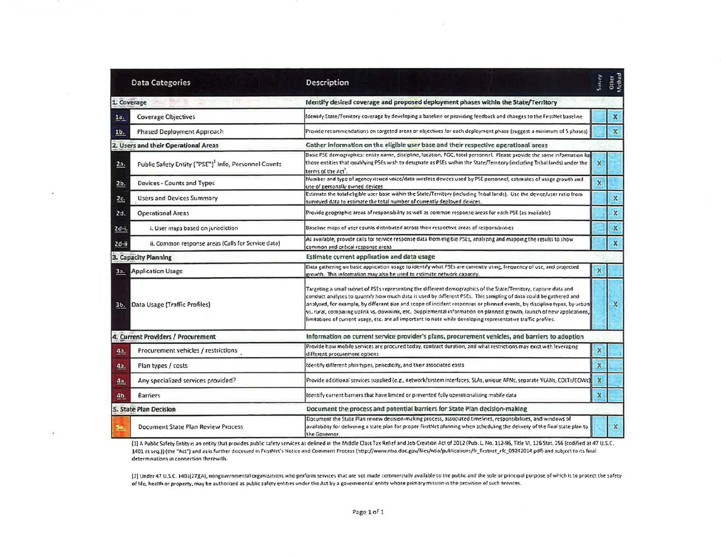|                | <b>Data Categories</b>                                           | Description                                                                                                                                                                                                                                                                                                                                                                                                                                                                                                                                                                                                     | Survey                    | Other<br>Victhod   |
|----------------|------------------------------------------------------------------|-----------------------------------------------------------------------------------------------------------------------------------------------------------------------------------------------------------------------------------------------------------------------------------------------------------------------------------------------------------------------------------------------------------------------------------------------------------------------------------------------------------------------------------------------------------------------------------------------------------------|---------------------------|--------------------|
|                | 1. Coverage                                                      | Identify desired coverage and proposed deployment phases within the State/Territory                                                                                                                                                                                                                                                                                                                                                                                                                                                                                                                             |                           |                    |
| 1a.            | <b>Coverage Objectives</b>                                       | ldentify State/Territory coverage by developing a baseline or providing feedback and changes to the FirstNet baseline                                                                                                                                                                                                                                                                                                                                                                                                                                                                                           |                           | $\pmb{\mathsf{x}}$ |
| 1b.            | <b>Phased Deployment Approach</b>                                | Provide recommendations on targeted areas or objectives for each deployment phase (suggest a minimum of 5 phases)                                                                                                                                                                                                                                                                                                                                                                                                                                                                                               |                           | $\mathbf x$        |
|                | 2. Users and their Operational Areas                             | Gather information on the eligible user base and their respective operational areas                                                                                                                                                                                                                                                                                                                                                                                                                                                                                                                             |                           |                    |
| 2a.            | Public Safety Entity ("PSE") <sup>1</sup> Info, Personnel Counts | Basic PSE demographics: entity name, discipline, location, POC, total personnel. Please provide the same information for<br>those entities that qualifying PSEs wish to designate as PSEs within the State/Territory (including Tribal lands) under the<br>terms of the Act                                                                                                                                                                                                                                                                                                                                     | ×                         |                    |
| 2 <sub>b</sub> | Devices - Counts and Types                                       | Number and type of agency issued voice/data wireless devices used by PSE personnel, estimates of usage growth and<br>use of personally owned devices                                                                                                                                                                                                                                                                                                                                                                                                                                                            | $\boldsymbol{\mathsf{x}}$ |                    |
| 2c.            | <b>Users and Devices Summary</b>                                 | Estimate the total eligible user base within the State/Territory (including Tribal lands). Use the device/user ratio from<br>surveyed data to estimate the total number of currently deployed devices.                                                                                                                                                                                                                                                                                                                                                                                                          |                           | $\mathbb{X}$       |
| 2d.            | <b>Operational Areas</b>                                         | Provide geographic areas of responsibility as well as common response areas for each PSE (as available)                                                                                                                                                                                                                                                                                                                                                                                                                                                                                                         |                           | $\mathbb X$        |
| 2d-i.          | i. User maps based on jurisdiction                               | Baseline maps of user counts distributed across their respective areas of responsibilities                                                                                                                                                                                                                                                                                                                                                                                                                                                                                                                      |                           | $\mathbf{x}$       |
| $2d - ii$      | ii. Common response areas (Calls for Service data)               | As available, provide calls for service response data from eligible PSEs, analyzing and mapping the results to show<br>common and critical response areas                                                                                                                                                                                                                                                                                                                                                                                                                                                       |                           | $\pmb{\mathsf{X}}$ |
|                | 3. Capacity Planning                                             | Estimate current application and data usage                                                                                                                                                                                                                                                                                                                                                                                                                                                                                                                                                                     |                           |                    |
| 3a.            | <b>Application Usage</b>                                         | Data gathering on basic application usage to identify what PSEs are currently using, frequency of use, and projected<br>growth. This information may also be used to estimate network capacity.                                                                                                                                                                                                                                                                                                                                                                                                                 | $\mathbf x$               |                    |
| 3b.            | Data Usage (Traffic Profiles)                                    | Targeting a small subset of PSEs representing the different demographics of the State/Territory, capture data and<br>conduct analyses to quantify how much data is used by different PSEs. This sampling of data could be gathered and<br>analyzed, for example, by different size and scope of incident responses or planned events, by discipline types, by urban<br>vs. rural, comparing uplink vs. downlink, etc. Supplemental information on planned growth, launch of new applications,<br>limitations of current usage, etc. are all important to note while developing representative traffic profiles. |                           | $\mathbf{x}$       |
|                | 4. Current Providers / Procurement                               | Information on current service provider's plans, procurement vehicles, and barriers to adoption                                                                                                                                                                                                                                                                                                                                                                                                                                                                                                                 |                           |                    |
| 4a.            | Procurement vehicles / restrictions                              | Provide how mobile services are procured today, contract duration, and what restrictions may exist with leveraging<br>different procurement options                                                                                                                                                                                                                                                                                                                                                                                                                                                             | $\pmb{\chi}$              |                    |
| 4а.            | Plan types / costs                                               | Identify different plan types, periodicity, and their associated costs                                                                                                                                                                                                                                                                                                                                                                                                                                                                                                                                          | $\mathbf x$               |                    |
| 4a             | Any specialized services provided?                               | Provide additional services supplied (e.g., network/system interfaces, SLAs, unique APNs, separate VLANs, COLTs/COWs)                                                                                                                                                                                                                                                                                                                                                                                                                                                                                           | $\boldsymbol{\mathsf{x}}$ |                    |
| 4 <sub>b</sub> | <b>Barriers</b>                                                  | Identify current barriers that have limited or prevented fully operationalizing mobile data                                                                                                                                                                                                                                                                                                                                                                                                                                                                                                                     | $\mathbf x$               |                    |
|                | 5. State Plan Decision                                           | Document the process and potential barriers for State Plan decision-making                                                                                                                                                                                                                                                                                                                                                                                                                                                                                                                                      |                           |                    |
|                | Document State Plan Review Process                               | Document the State Plan review decision-making process, associated timelines, responsibilities, and windows of<br>availability for delivering a state plan for proper FirstNet planning when scheduling the delivery of the final state plan to<br>the Governor.                                                                                                                                                                                                                                                                                                                                                |                           | $\mathbf x$        |

[1] A Public Safety Entity is an entity that provides public safety services as defined in the Middle Class Tax Relief and Job Creation Act of 2012 (Pub. L. No. 112-96, Title VI, 126 Stat. 256 (codified at 47 U.S.C. 1401 et seq.)) (the "Act") and as is further discussed in FirstNet's Notice and Comment Pracess (http://www.ntia.doc.gov/files/ntia/publications/fr\_firstnet\_rfc\_09242014.pdf) and subject to its final determinations in connection therewith.

[2] Under 47 U.S.C. 1401(27)(A), nongovernmental organizations who perform services that are not made commercially available to the public and the sole or principal purpose of which is to protect the safety of life, health or property, may be authorized as public safety entities under the Act by a governmental entity whose primary mission is the provision of such services.